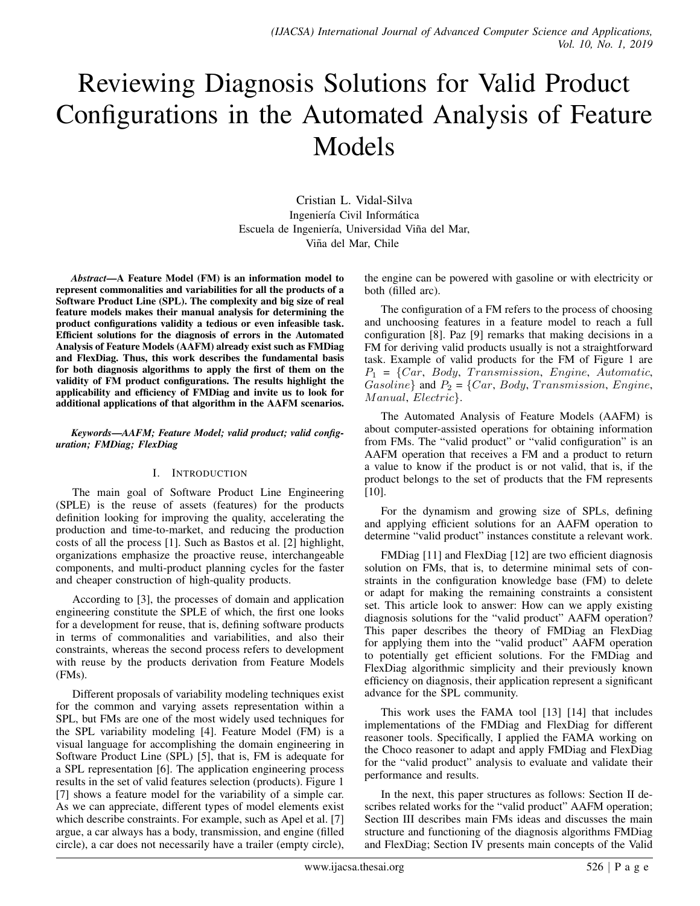# Reviewing Diagnosis Solutions for Valid Product Configurations in the Automated Analysis of Feature Models

Cristian L. Vidal-Silva Ingeniería Civil Informática Escuela de Ingeniería, Universidad Viña del Mar, Viña del Mar, Chile

*Abstract*—A Feature Model (FM) is an information model to represent commonalities and variabilities for all the products of a Software Product Line (SPL). The complexity and big size of real feature models makes their manual analysis for determining the product configurations validity a tedious or even infeasible task. Efficient solutions for the diagnosis of errors in the Automated Analysis of Feature Models (AAFM) already exist such as FMDiag and FlexDiag. Thus, this work describes the fundamental basis for both diagnosis algorithms to apply the first of them on the validity of FM product configurations. The results highlight the applicability and efficiency of FMDiag and invite us to look for additional applications of that algorithm in the AAFM scenarios.

#### *Keywords*—*AAFM; Feature Model; valid product; valid configuration; FMDiag; FlexDiag*

## I. INTRODUCTION

The main goal of Software Product Line Engineering (SPLE) is the reuse of assets (features) for the products definition looking for improving the quality, accelerating the production and time-to-market, and reducing the production costs of all the process [1]. Such as Bastos et al. [2] highlight, organizations emphasize the proactive reuse, interchangeable components, and multi-product planning cycles for the faster and cheaper construction of high-quality products.

According to [3], the processes of domain and application engineering constitute the SPLE of which, the first one looks for a development for reuse, that is, defining software products in terms of commonalities and variabilities, and also their constraints, whereas the second process refers to development with reuse by the products derivation from Feature Models (FMs).

Different proposals of variability modeling techniques exist for the common and varying assets representation within a SPL, but FMs are one of the most widely used techniques for the SPL variability modeling [4]. Feature Model (FM) is a visual language for accomplishing the domain engineering in Software Product Line (SPL) [5], that is, FM is adequate for a SPL representation [6]. The application engineering process results in the set of valid features selection (products). Figure 1 [7] shows a feature model for the variability of a simple car. As we can appreciate, different types of model elements exist which describe constraints. For example, such as Apel et al. [7] argue, a car always has a body, transmission, and engine (filled circle), a car does not necessarily have a trailer (empty circle),

the engine can be powered with gasoline or with electricity or both (filled arc).

The configuration of a FM refers to the process of choosing and unchoosing features in a feature model to reach a full configuration [8]. Paz [9] remarks that making decisions in a FM for deriving valid products usually is not a straightforward task. Example of valid products for the FM of Figure 1 are  $P_1 = \{Car, Body, Transmission, Engine, Automatic,$  $Gasoline\}$  and  $P_2 = \{Car, Body, Transmission, Engine,$ Manual, Electric.

The Automated Analysis of Feature Models (AAFM) is about computer-assisted operations for obtaining information from FMs. The "valid product" or "valid configuration" is an AAFM operation that receives a FM and a product to return a value to know if the product is or not valid, that is, if the product belongs to the set of products that the FM represents [10].

For the dynamism and growing size of SPLs, defining and applying efficient solutions for an AAFM operation to determine "valid product" instances constitute a relevant work.

FMDiag [11] and FlexDiag [12] are two efficient diagnosis solution on FMs, that is, to determine minimal sets of constraints in the configuration knowledge base (FM) to delete or adapt for making the remaining constraints a consistent set. This article look to answer: How can we apply existing diagnosis solutions for the "valid product" AAFM operation? This paper describes the theory of FMDiag an FlexDiag for applying them into the "valid product" AAFM operation to potentially get efficient solutions. For the FMDiag and FlexDiag algorithmic simplicity and their previously known efficiency on diagnosis, their application represent a significant advance for the SPL community.

This work uses the FAMA tool [13] [14] that includes implementations of the FMDiag and FlexDiag for different reasoner tools. Specifically, I applied the FAMA working on the Choco reasoner to adapt and apply FMDiag and FlexDiag for the "valid product" analysis to evaluate and validate their performance and results.

In the next, this paper structures as follows: Section II describes related works for the "valid product" AAFM operation; Section III describes main FMs ideas and discusses the main structure and functioning of the diagnosis algorithms FMDiag and FlexDiag; Section IV presents main concepts of the Valid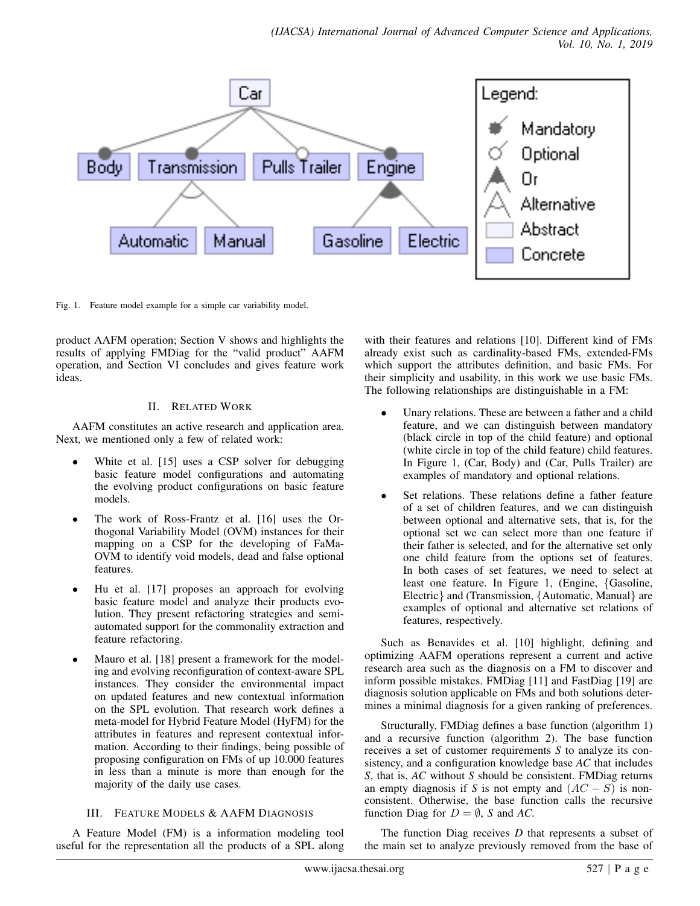

Fig. 1. Feature model example for a simple car variability model.

product AAFM operation; Section V shows and highlights the results of applying FMDiag for the "valid product" AAFM operation, and Section VI concludes and gives feature work ideas.

## II. RELATED WORK

AAFM constitutes an active research and application area. Next, we mentioned only a few of related work:

- White et al. [15] uses a CSP solver for debugging basic feature model configurations and automating the evolving product configurations on basic feature models.
- The work of Ross-Frantz et al. [16] uses the Orthogonal Variability Model (OVM) instances for their mapping on a CSP for the developing of FaMa-OVM to identify void models, dead and false optional features.
- Hu et al. [17] proposes an approach for evolving basic feature model and analyze their products evolution. They present refactoring strategies and semiautomated support for the commonality extraction and feature refactoring.
- Mauro et al. [18] present a framework for the modeling and evolving reconfiguration of context-aware SPL instances. They consider the environmental impact on updated features and new contextual information on the SPL evolution. That research work defines a meta-model for Hybrid Feature Model (HyFM) for the attributes in features and represent contextual information. According to their findings, being possible of proposing configuration on FMs of up 10.000 features in less than a minute is more than enough for the majority of the daily use cases.

# III. FEATURE MODELS & AAFM DIAGNOSIS

A Feature Model (FM) is a information modeling tool useful for the representation all the products of a SPL along with their features and relations [10]. Different kind of FMs already exist such as cardinality-based FMs, extended-FMs which support the attributes definition, and basic FMs. For their simplicity and usability, in this work we use basic FMs. The following relationships are distinguishable in a FM:

- Unary relations. These are between a father and a child feature, and we can distinguish between mandatory (black circle in top of the child feature) and optional (white circle in top of the child feature) child features. In Figure 1, (Car, Body) and (Car, Pulls Trailer) are examples of mandatory and optional relations.
- Set relations. These relations define a father feature of a set of children features, and we can distinguish between optional and alternative sets, that is, for the optional set we can select more than one feature if their father is selected, and for the alternative set only one child feature from the options set of features. In both cases of set features, we need to select at least one feature. In Figure 1, (Engine, {Gasoline, Electric} and (Transmission, {Automatic, Manual} are examples of optional and alternative set relations of features, respectively.

Such as Benavides et al. [10] highlight, defining and optimizing AAFM operations represent a current and active research area such as the diagnosis on a FM to discover and inform possible mistakes. FMDiag [11] and FastDiag [19] are diagnosis solution applicable on FMs and both solutions determines a minimal diagnosis for a given ranking of preferences.

Structurally, FMDiag defines a base function (algorithm 1) and a recursive function (algorithm 2). The base function receives a set of customer requirements *S* to analyze its consistency, and a configuration knowledge base *AC* that includes *S*, that is, *AC* without *S* should be consistent. FMDiag returns an empty diagnosis if *S* is not empty and  $(AC - S)$  is nonconsistent. Otherwise, the base function calls the recursive function Diag for  $D = \emptyset$ , *S* and *AC*.

The function Diag receives *D* that represents a subset of the main set to analyze previously removed from the base of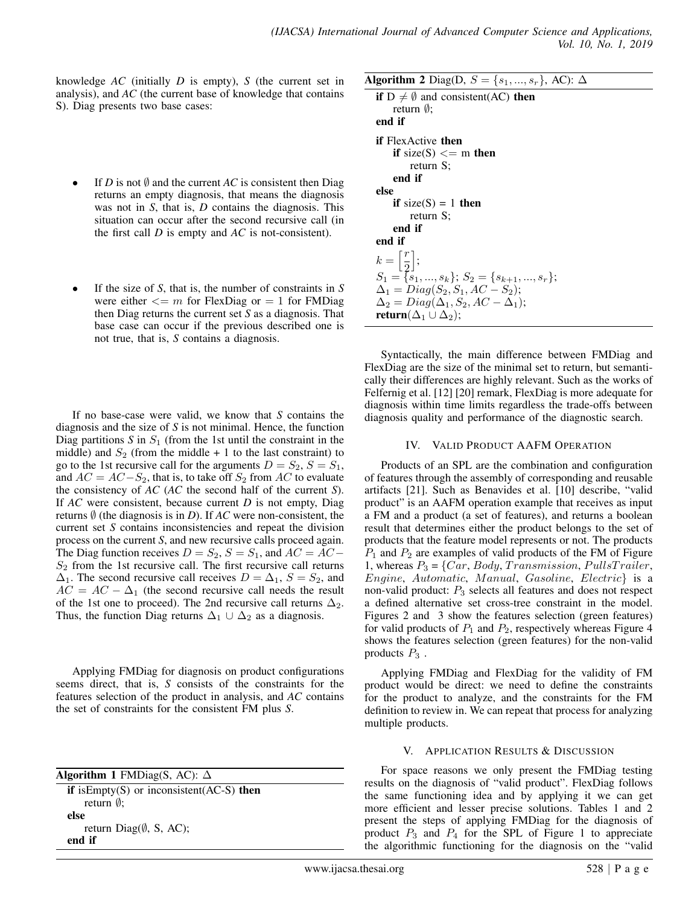knowledge *AC* (initially *D* is empty), *S* (the current set in analysis), and *AC* (the current base of knowledge that contains S). Diag presents two base cases:

- If *D* is not  $\emptyset$  and the current *AC* is consistent then Diag returns an empty diagnosis, that means the diagnosis was not in *S*, that is, *D* contains the diagnosis. This situation can occur after the second recursive call (in the first call *D* is empty and *AC* is not-consistent).
- If the size of *S*, that is, the number of constraints in *S* were either  $\leq m$  for FlexDiag or  $= 1$  for FMDiag then Diag returns the current set *S* as a diagnosis. That base case can occur if the previous described one is not true, that is, *S* contains a diagnosis.

If no base-case were valid, we know that *S* contains the diagnosis and the size of *S* is not minimal. Hence, the function Diag partitions  $S$  in  $S_1$  (from the 1st until the constraint in the middle) and  $S_2$  (from the middle + 1 to the last constraint) to go to the 1st recursive call for the arguments  $D = S_2$ ,  $S = S_1$ , and  $AC = AC - S_2$ , that is, to take off  $S_2$  from AC to evaluate the consistency of *AC* (*AC* the second half of the current *S*). If *AC* were consistent, because current *D* is not empty, Diag returns  $\emptyset$  (the diagnosis is in *D*). If *AC* were non-consistent, the current set *S* contains inconsistencies and repeat the division process on the current *S*, and new recursive calls proceed again. The Diag function receives  $D = S_2$ ,  $S = S_1$ , and  $AC = AC S_2$  from the 1st recursive call. The first recursive call returns  $\Delta_1$ . The second recursive call receives  $D = \Delta_1$ ,  $S = S_2$ , and  $AC = AC - \Delta_1$  (the second recursive call needs the result of the 1st one to proceed). The 2nd recursive call returns  $\Delta_2$ . Thus, the function Diag returns  $\Delta_1 \cup \Delta_2$  as a diagnosis.

Applying FMDiag for diagnosis on product configurations seems direct, that is, *S* consists of the constraints for the features selection of the product in analysis, and *AC* contains the set of constraints for the consistent FM plus *S*.

| Algorithm 1 FMDiag(S, AC): $\Delta$ |                                                                                           |
|-------------------------------------|-------------------------------------------------------------------------------------------|
|                                     | $\mathbf{F}$ is $\Gamma$ must $(\mathbf{C})$ or in consistent $(\Lambda \cap \mathbf{C})$ |

if is Empty $(S)$  or inconsistent $(AC-S)$  then return ∅; else return Diag $(\emptyset, S, AC)$ ; end if

Syntactically, the main difference between FMDiag and FlexDiag are the size of the minimal set to return, but semantically their differences are highly relevant. Such as the works of Felfernig et al. [12] [20] remark, FlexDiag is more adequate for diagnosis within time limits regardless the trade-offs between diagnosis quality and performance of the diagnostic search.

## IV. VALID PRODUCT AAFM OPERATION

Products of an SPL are the combination and configuration of features through the assembly of corresponding and reusable artifacts [21]. Such as Benavides et al. [10] describe, "valid product" is an AAFM operation example that receives as input a FM and a product (a set of features), and returns a boolean result that determines either the product belongs to the set of products that the feature model represents or not. The products  $P_1$  and  $P_2$  are examples of valid products of the FM of Figure 1, whereas  $P_3 = \{Car, Body, Transmission, PullsTrailer,$  $Engineering, Automatic, Manual, Gasoline, Electric}$  is a non-valid product:  $P_3$  selects all features and does not respect a defined alternative set cross-tree constraint in the model. Figures 2 and 3 show the features selection (green features) for valid products of  $P_1$  and  $P_2$ , respectively whereas Figure 4 shows the features selection (green features) for the non-valid products  $P_3$ .

Applying FMDiag and FlexDiag for the validity of FM product would be direct: we need to define the constraints for the product to analyze, and the constraints for the FM definition to review in. We can repeat that process for analyzing multiple products.

## V. APPLICATION RESULTS & DISCUSSION

For space reasons we only present the FMDiag testing results on the diagnosis of "valid product". FlexDiag follows the same functioning idea and by applying it we can get more efficient and lesser precise solutions. Tables 1 and 2 present the steps of applying FMDiag for the diagnosis of product  $P_3$  and  $P_4$  for the SPL of Figure 1 to appreciate the algorithmic functioning for the diagnosis on the "valid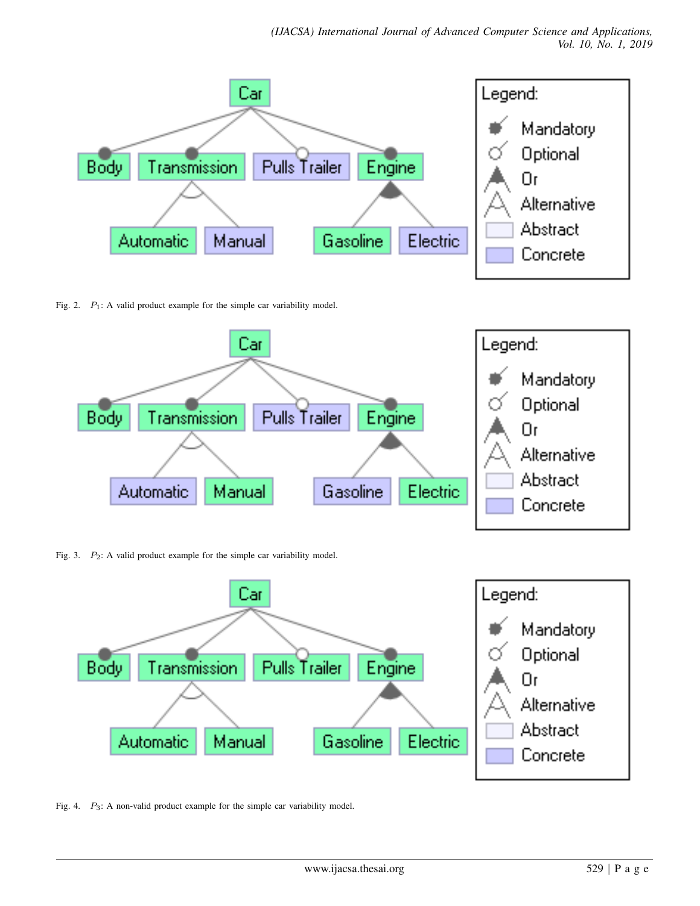

Fig. 2.  $P_1$ : A valid product example for the simple car variability model.



Fig. 3.  $P_2$ : A valid product example for the simple car variability model.



Fig. 4. P<sub>3</sub>: A non-valid product example for the simple car variability model.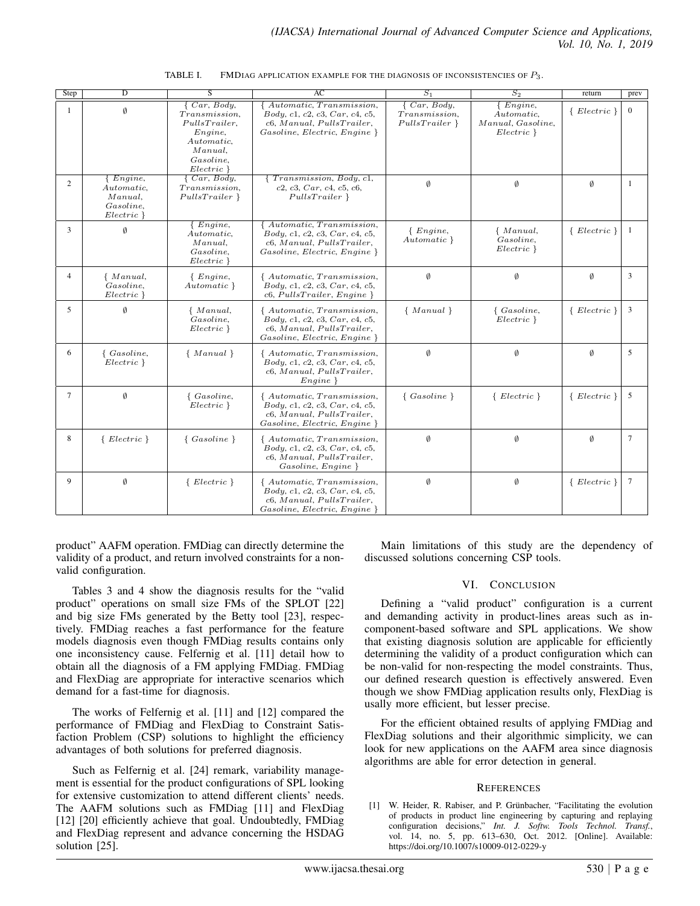| <b>Step</b>    | D                                                                          | S                                                                                                                     | $S_1$<br>$S_2$<br>AC                                                                                                           |                                                 | return                                                          | prev               |                 |
|----------------|----------------------------------------------------------------------------|-----------------------------------------------------------------------------------------------------------------------|--------------------------------------------------------------------------------------------------------------------------------|-------------------------------------------------|-----------------------------------------------------------------|--------------------|-----------------|
| -1             | Ø                                                                          | $\{Car, Body,$<br>Transmission,<br>PullsTrailer,<br>$Engine$ ,<br>Automatic.<br>Manual.<br>Gasoline.<br>$Electric \}$ | Automatic, Transmission,<br>Body, c1, c2, c3, Car, c4, c5,<br>$c6$ , Manual, PullsTrailer,<br>$Gasoline, Electric, Engine\}$   | $\{Car, Body,$<br>Transmission,<br>PullsTrainer | $\{ Engine,$<br>Automatic,<br>Manual, Gasoline,<br>$Electric\}$ | $\{ \ Electric \}$ | $\mathbf{0}$    |
| 2              | $\{ Engine,$<br>Automatic.<br>Manual.<br><i>Gasoline.</i><br>$Electric \}$ | $\{Car, Body,$<br><i>Transmission.</i><br>PullsTrainer                                                                | $\{Transmission, Body, c1,$<br>c2, c3, Car, c4, c5, c6,<br>PullsTrainer                                                        | $\emptyset$                                     | $\emptyset$                                                     | Ø                  | -1              |
| 3              | $\emptyset$                                                                | Enqine,<br>Automatic,<br>Manual.<br>Gasoline.<br>$Electric \}$                                                        | Automatic, Transmission,<br>Body, c1, c2, c3, Car, c4, c5,<br>$c6$ , Manual, PullsTrailer,<br>$Gasoline, Electric, Engine\}$   | $\{ Engine,$<br>Automatic }                     | { Manual,<br>Gasoline,<br>$Electric\}$                          | $\{ \ Electric \}$ | -1              |
| $\overline{4}$ | { Manual,<br>Gasoline,<br>$Electric \}$                                    | $\{ Engine,$<br>Automatic }                                                                                           | { Automatic, Transmission,<br>Body, c1, c2, c3, Car, c4, c5,<br>$c6, PullsTrainer, Engine\}$                                   | Ø                                               | Ø                                                               | Ø                  | 3               |
| 5              | $\emptyset$                                                                | $\{$ Manual,<br>Gasoline,<br>$Electric \}$                                                                            | { Automatic, Transmission,<br>Body, c1, c2, c3, Car, c4, c5,<br>$c6$ , Manual, PullsTrailer,<br>$Gasoline, Electric, Engine\}$ | $\{ Manual\}$                                   | $\{ Gasoline,$<br>$Electric \}$                                 | $\{Electric\}$     | 3               |
| 6              | $\{ Gasoline,$<br>$Electric \}$                                            | $\{ Manual\}$                                                                                                         | { Automatic, Transmission,<br>Body, c1, c2, c3, Car, c4, c5,<br>$c6$ , Manual, PullsTrailer,<br>Enqine                         | Ø                                               | $\emptyset$                                                     | Ø                  | 5               |
| 7              | Ø                                                                          | $\{ Gasoline,$<br>$Electric\}$                                                                                        | { Automatic, Transmission,<br>Body, c1, c2, c3, Car, c4, c5,<br>$c6$ , Manual, PullsTrailer,<br>$Gasoline, Electric, Engine\}$ | $\{ Gasoline\}$                                 | $\{ \, Electric \, \}$                                          | $\{ \ Electric \}$ | -5              |
| 8              | $\{ \, Electric \, \}$                                                     | $\{ Gasoline\}$                                                                                                       | { Automatic, Transmission,<br>Body, c1, c2, c3, Car, c4, c5,<br>$c6$ , Manual, PullsTrailer,<br>Gasoline, Engine               | Ø                                               | $\emptyset$                                                     | Ø                  | $7\phantom{.0}$ |
| 9              | $\emptyset$                                                                | $\{Electric\}$                                                                                                        | { Automatic, Transmission,<br>Body, c1, c2, c3, Car, c4, c5,<br>$c6$ , Manual, PullsTrailer,<br>Gasoline, Electric, Engine     | Ø                                               | Ø                                                               | $\{Electric\}$     | $\overline{7}$  |

| TABLE I. | FMDIAG APPLICATION EXAMPLE FOR THE DIAGNOSIS OF INCONSISTENCIES OF $P_3$ . |  |
|----------|----------------------------------------------------------------------------|--|
|          |                                                                            |  |

product" AAFM operation. FMDiag can directly determine the validity of a product, and return involved constraints for a nonvalid configuration.

Tables 3 and 4 show the diagnosis results for the "valid product" operations on small size FMs of the SPLOT [22] and big size FMs generated by the Betty tool [23], respectively. FMDiag reaches a fast performance for the feature models diagnosis even though FMDiag results contains only one inconsistency cause. Felfernig et al. [11] detail how to obtain all the diagnosis of a FM applying FMDiag. FMDiag and FlexDiag are appropriate for interactive scenarios which demand for a fast-time for diagnosis.

The works of Felfernig et al. [11] and [12] compared the performance of FMDiag and FlexDiag to Constraint Satisfaction Problem (CSP) solutions to highlight the efficiency advantages of both solutions for preferred diagnosis.

Such as Felfernig et al. [24] remark, variability management is essential for the product configurations of SPL looking for extensive customization to attend different clients' needs. The AAFM solutions such as FMDiag [11] and FlexDiag [12] [20] efficiently achieve that goal. Undoubtedly, FMDiag and FlexDiag represent and advance concerning the HSDAG solution [25].

Main limitations of this study are the dependency of discussed solutions concerning CSP tools.

## VI. CONCLUSION

Defining a "valid product" configuration is a current and demanding activity in product-lines areas such as incomponent-based software and SPL applications. We show that existing diagnosis solution are applicable for efficiently determining the validity of a product configuration which can be non-valid for non-respecting the model constraints. Thus, our defined research question is effectively answered. Even though we show FMDiag application results only, FlexDiag is usally more efficient, but lesser precise.

For the efficient obtained results of applying FMDiag and FlexDiag solutions and their algorithmic simplicity, we can look for new applications on the AAFM area since diagnosis algorithms are able for error detection in general.

#### **REFERENCES**

[1] W. Heider, R. Rabiser, and P. Grünbacher, "Facilitating the evolution of products in product line engineering by capturing and replaying configuration decisions," *Int. J. Softw. Tools Technol. Transf.*, vol. 14, no. 5, pp. 613–630, Oct. 2012. [Online]. Available: https://doi.org/10.1007/s10009-012-0229-y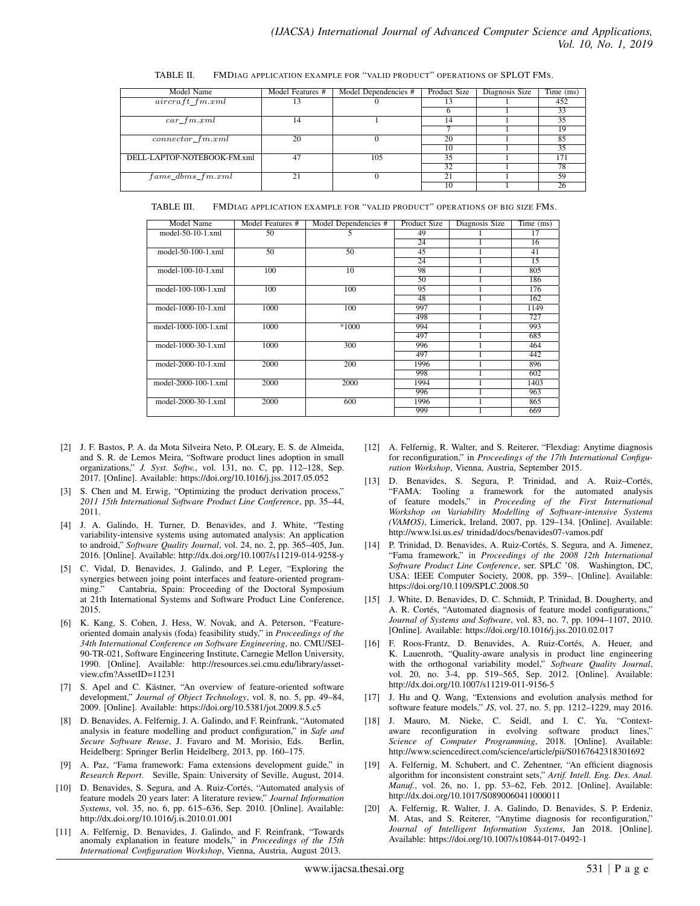| Model Name                  | Model Features # | Model Dependencies # | Product Size | Diagnosis Size | Time (ms) |
|-----------------------------|------------------|----------------------|--------------|----------------|-----------|
| $aircraft\_fm.xml$          | 13               |                      | 13           |                | 452       |
|                             |                  |                      |              |                | 33        |
| $car\_fm.xml$               | 14               |                      | 14           |                | 35        |
|                             |                  |                      |              |                | 19        |
| $connector\_fm.xml$         | 20               |                      | 20           |                | 85        |
|                             |                  |                      | 10           |                | 35        |
| DELL-LAPTOP-NOTEBOOK-FM.xml | 47               | 105                  | 35           |                | 171       |
|                             |                  |                      | 32           |                | 78        |
| $fame\_dbms\_fm.xml$        | 21               |                      | 21           |                | 59        |
|                             |                  |                      | 10           |                | 26        |

TABLE II. FMDIAG APPLICATION EXAMPLE FOR "VALID PRODUCT" OPERATIONS OF SPLOT FMS.

TABLE III. FMDIAG APPLICATION EXAMPLE FOR "VALID PRODUCT" OPERATIONS OF BIG SIZE FMS.

| Model Name           | Model Features # | Model Dependencies # | Product Size | Diagnosis Size | Time (ms)       |
|----------------------|------------------|----------------------|--------------|----------------|-----------------|
| model-50-10-1.xml    | 50               |                      | 49           |                | 17              |
|                      |                  |                      | 24           |                | 16              |
| model-50-100-1.xml   | 50               | 50                   | 45           |                | 41              |
|                      |                  |                      | 24           |                | $\overline{15}$ |
| model-100-10-1.xml   | 100              | 10                   | 98           |                | 805             |
|                      |                  |                      | 50           |                | 186             |
| model-100-100-1.xml  | 100              | 100                  | 95           |                | 176             |
|                      |                  |                      | 48           |                | 162             |
| model-1000-10-1.xml  | 1000             | 100                  | 997          |                | 1149            |
|                      |                  |                      | 498          |                | 727             |
| model-1000-100-1.xml | 1000             | $*1000$              | 994          |                | 993             |
|                      |                  |                      | 497          |                | 685             |
| model-1000-30-1.xml  | 1000             | 300                  | 996          |                | 464             |
|                      |                  |                      | 497          |                | 442             |
| model-2000-10-1.xml  | 2000             | 200                  | 1996         |                | 896             |
|                      |                  |                      | 998          |                | 602             |
| model-2000-100-1.xml | 2000             | 2000                 | 1994         |                | 1403            |
|                      |                  |                      | 996          |                | 963             |
| model-2000-30-1.xml  | 2000             | 600                  | 1996         |                | 865             |
|                      |                  |                      | 999          |                | 669             |

- [2] J. F. Bastos, P. A. da Mota Silveira Neto, P. OLeary, E. S. de Almeida, and S. R. de Lemos Meira, "Software product lines adoption in small organizations," *J. Syst. Softw.*, vol. 131, no. C, pp. 112–128, Sep. 2017. [Online]. Available: https://doi.org/10.1016/j.jss.2017.05.052
- [3] S. Chen and M. Erwig, "Optimizing the product derivation process," *2011 15th International Software Product Line Conference*, pp. 35–44, 2011.
- [4] J. A. Galindo, H. Turner, D. Benavides, and J. White, "Testing variability-intensive systems using automated analysis: An application to android," *Software Quality Journal*, vol. 24, no. 2, pp. 365–405, Jun. 2016. [Online]. Available: http://dx.doi.org/10.1007/s11219-014-9258-y
- [5] C. Vidal, D. Benavides, J. Galindo, and P. Leger, "Exploring the synergies between joing point interfaces and feature-oriented programming." Cantabria, Spain: Proceeding of the Doctoral Symposium at 21th International Systems and Software Product Line Conference, 2015.
- [6] K. Kang, S. Cohen, J. Hess, W. Novak, and A. Peterson, "Featureoriented domain analysis (foda) feasibility study," in *Proceedings of the 34th International Conference on Software Engineering*, no. CMU/SEI-90-TR-021, Software Engineering Institute, Carnegie Mellon University, 1990. [Online]. Available: http://resources.sei.cmu.edu/library/assetview.cfm?AssetID=11231
- [7] S. Apel and C. Kästner, "An overview of feature-oriented software development," *Journal of Object Technology*, vol. 8, no. 5, pp. 49–84, 2009. [Online]. Available: https://doi.org/10.5381/jot.2009.8.5.c5
- [8] D. Benavides, A. Felfernig, J. A. Galindo, and F. Reinfrank, "Automated analysis in feature modelling and product configuration," in *Safe and Secure Software Reuse*, J. Favaro and M. Morisio, Eds. Berlin, Heidelberg: Springer Berlin Heidelberg, 2013, pp. 160–175.
- [9] A. Paz, "Fama framework: Fama extensions development guide," in *Research Report*. Seville, Spain: University of Seville, August, 2014.
- [10] D. Benavides, S. Segura, and A. Ruiz-Cortés, "Automated analysis of feature models 20 years later: A literature review," *Journal Information Systems*, vol. 35, no. 6, pp. 615–636, Sep. 2010. [Online]. Available: http://dx.doi.org/10.1016/j.is.2010.01.001
- [11] A. Felfernig, D. Benavides, J. Galindo, and F. Reinfrank, "Towards anomaly explanation in feature models," in *Proceedings of the 15th International Configuration Workshop*, Vienna, Austria, August 2013.
- [12] A. Felfernig, R. Walter, and S. Reiterer, "Flexdiag: Anytime diagnosis for reconfiguration," in *Proceedings of the 17th International Configuration Workshop*, Vienna, Austria, September 2015.
- [13] D. Benavides, S. Segura, P. Trinidad, and A. Ruiz-Cortés, "FAMA: Tooling a framework for the automated analysis of feature models," in *Proceeding of the First International Workshop on Variability Modelling of Software-intensive Systems (VAMOS)*, Limerick, Ireland, 2007, pp. 129–134. [Online]. Available: http://www.lsi.us.es/ trinidad/docs/benavides07-vamos.pdf
- [14] P. Trinidad, D. Benavides, A. Ruiz-Cortés, S. Segura, and A. Jimenez, "Fama framework," in *Proceedings of the 2008 12th International Software Product Line Conference*, ser. SPLC '08. Washington, DC, USA: IEEE Computer Society, 2008, pp. 359–. [Online]. Available: https://doi.org/10.1109/SPLC.2008.50
- [15] J. White, D. Benavides, D. C. Schmidt, P. Trinidad, B. Dougherty, and A. R. Cortés, "Automated diagnosis of feature model configurations," *Journal of Systems and Software*, vol. 83, no. 7, pp. 1094–1107, 2010. [Online]. Available: https://doi.org/10.1016/j.jss.2010.02.017
- [16] F. Roos-Frantz, D. Benavides, A. Ruiz-Cortés, A. Heuer, and K. Lauenroth, "Quality-aware analysis in product line engineering with the orthogonal variability model," *Software Quality Journal*, vol. 20, no. 3-4, pp. 519–565, Sep. 2012. [Online]. Available: http://dx.doi.org/10.1007/s11219-011-9156-5
- [17] J. Hu and Q. Wang, "Extensions and evolution analysis method for software feature models," *JS*, vol. 27, no. 5, pp. 1212–1229, may 2016.
- [18] J. Mauro, M. Nieke, C. Seidl, and I. C. Yu, "Contextaware reconfiguration in evolving software product lines," *Science of Computer Programming*, 2018. [Online]. Available: http://www.sciencedirect.com/science/article/pii/S0167642318301692
- [19] A. Felfernig, M. Schubert, and C. Zehentner, "An efficient diagnosis algorithm for inconsistent constraint sets," *Artif. Intell. Eng. Des. Anal. Manuf.*, vol. 26, no. 1, pp. 53–62, Feb. 2012. [Online]. Available: http://dx.doi.org/10.1017/S0890060411000011
- [20] A. Felfernig, R. Walter, J. A. Galindo, D. Benavides, S. P. Erdeniz, M. Atas, and S. Reiterer, "Anytime diagnosis for reconfiguration," *Journal of Intelligent Information Systems*, Jan 2018. [Online]. Available: https://doi.org/10.1007/s10844-017-0492-1